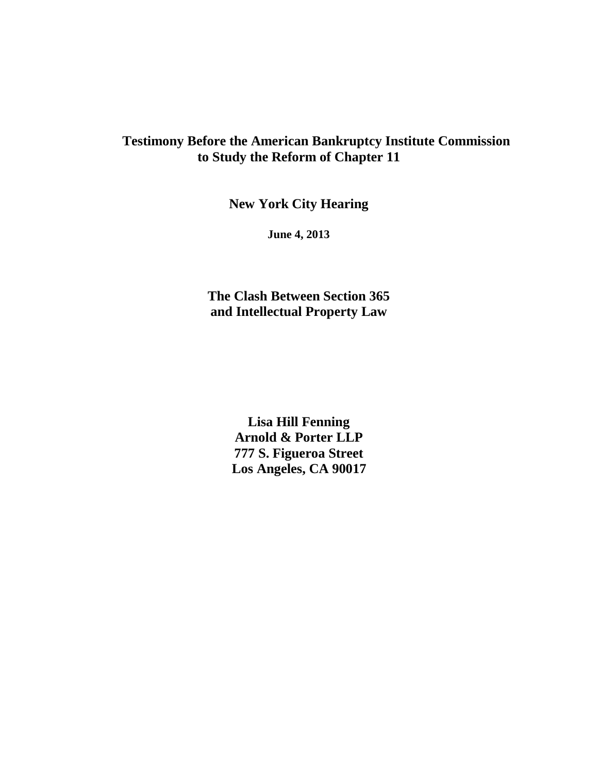### **Testimony Before the American Bankruptcy Institute Commission to Study the Reform of Chapter 11**

**New York City Hearing**

**June 4, 2013**

**The Clash Between Section 365 and Intellectual Property Law**

> **Lisa Hill Fenning Arnold & Porter LLP 777 S. Figueroa Street Los Angeles, CA 90017**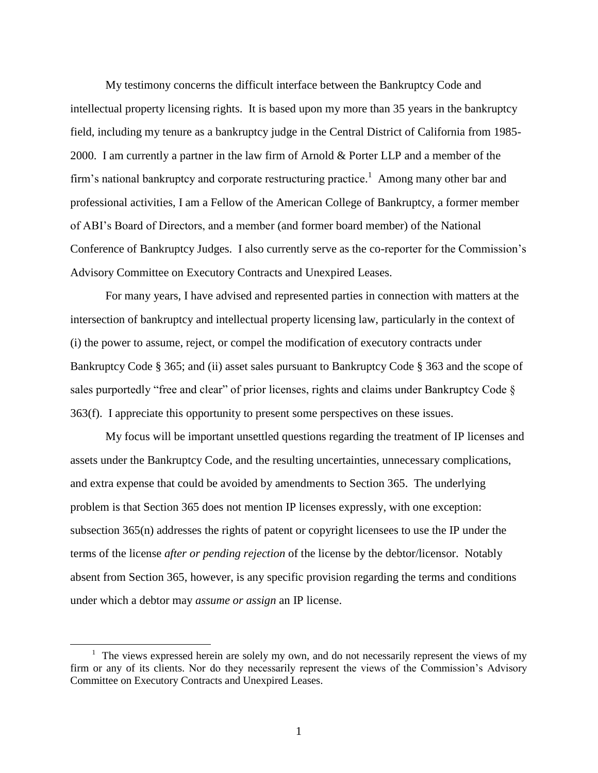My testimony concerns the difficult interface between the Bankruptcy Code and intellectual property licensing rights. It is based upon my more than 35 years in the bankruptcy field, including my tenure as a bankruptcy judge in the Central District of California from 1985- 2000. I am currently a partner in the law firm of Arnold & Porter LLP and a member of the firm's national bankruptcy and corporate restructuring practice.<sup>1</sup> Among many other bar and professional activities, I am a Fellow of the American College of Bankruptcy, a former member of ABI"s Board of Directors, and a member (and former board member) of the National Conference of Bankruptcy Judges. I also currently serve as the co-reporter for the Commission"s Advisory Committee on Executory Contracts and Unexpired Leases.

For many years, I have advised and represented parties in connection with matters at the intersection of bankruptcy and intellectual property licensing law, particularly in the context of (i) the power to assume, reject, or compel the modification of executory contracts under Bankruptcy Code § 365; and (ii) asset sales pursuant to Bankruptcy Code § 363 and the scope of sales purportedly "free and clear" of prior licenses, rights and claims under Bankruptcy Code § 363(f). I appreciate this opportunity to present some perspectives on these issues.

My focus will be important unsettled questions regarding the treatment of IP licenses and assets under the Bankruptcy Code, and the resulting uncertainties, unnecessary complications, and extra expense that could be avoided by amendments to Section 365. The underlying problem is that Section 365 does not mention IP licenses expressly, with one exception: subsection 365(n) addresses the rights of patent or copyright licensees to use the IP under the terms of the license *after or pending rejection* of the license by the debtor/licensor. Notably absent from Section 365, however, is any specific provision regarding the terms and conditions under which a debtor may *assume or assign* an IP license.

 $\overline{a}$ 

<sup>&</sup>lt;sup>1</sup> The views expressed herein are solely my own, and do not necessarily represent the views of my firm or any of its clients. Nor do they necessarily represent the views of the Commission"s Advisory Committee on Executory Contracts and Unexpired Leases.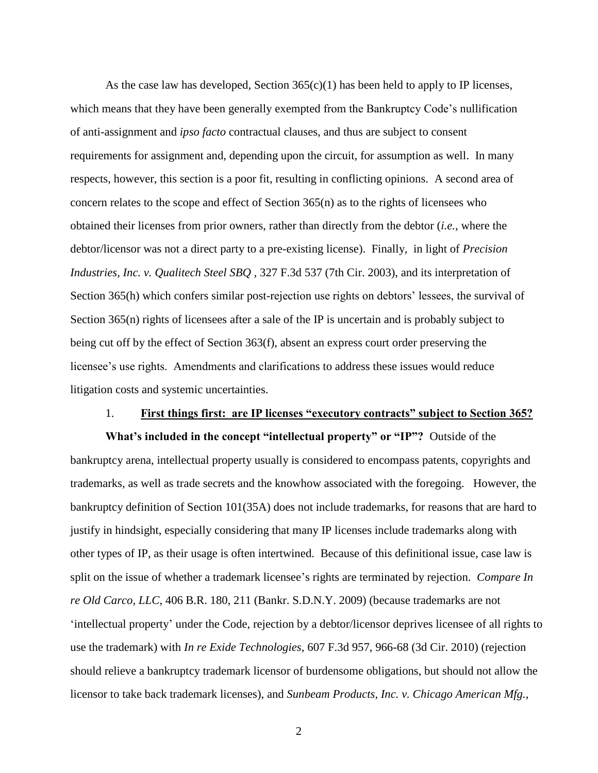As the case law has developed, Section  $365(c)(1)$  has been held to apply to IP licenses, which means that they have been generally exempted from the Bankruptcy Code's nullification of anti-assignment and *ipso facto* contractual clauses, and thus are subject to consent requirements for assignment and, depending upon the circuit, for assumption as well. In many respects, however, this section is a poor fit, resulting in conflicting opinions. A second area of concern relates to the scope and effect of Section 365(n) as to the rights of licensees who obtained their licenses from prior owners, rather than directly from the debtor (*i.e.*, where the debtor/licensor was not a direct party to a pre-existing license). Finally, in light of *Precision Industries, Inc. v. Qualitech Steel SBQ ,* 327 F.3d 537 (7th Cir. 2003), and its interpretation of Section 365(h) which confers similar post-rejection use rights on debtors' lessees, the survival of Section 365(n) rights of licensees after a sale of the IP is uncertain and is probably subject to being cut off by the effect of Section 363(f), absent an express court order preserving the licensee's use rights. Amendments and clarifications to address these issues would reduce litigation costs and systemic uncertainties.

#### 1. **First things first: are IP licenses "executory contracts" subject to Section 365?**

**What's included in the concept "intellectual property" or "IP"?** Outside of the bankruptcy arena, intellectual property usually is considered to encompass patents, copyrights and trademarks, as well as trade secrets and the knowhow associated with the foregoing. However, the bankruptcy definition of Section 101(35A) does not include trademarks, for reasons that are hard to justify in hindsight, especially considering that many IP licenses include trademarks along with other types of IP, as their usage is often intertwined. Because of this definitional issue, case law is split on the issue of whether a trademark licensee"s rights are terminated by rejection. *Compare In re Old Carco, LLC*, 406 B.R. 180, 211 (Bankr. S.D.N.Y. 2009) (because trademarks are not "intellectual property" under the Code, rejection by a debtor/licensor deprives licensee of all rights to use the trademark) with *In re Exide Technologies*, 607 F.3d 957, 966-68 (3d Cir. 2010) (rejection should relieve a bankruptcy trademark licensor of burdensome obligations, but should not allow the licensor to take back trademark licenses), and *Sunbeam Products, Inc. v. Chicago American Mfg.*,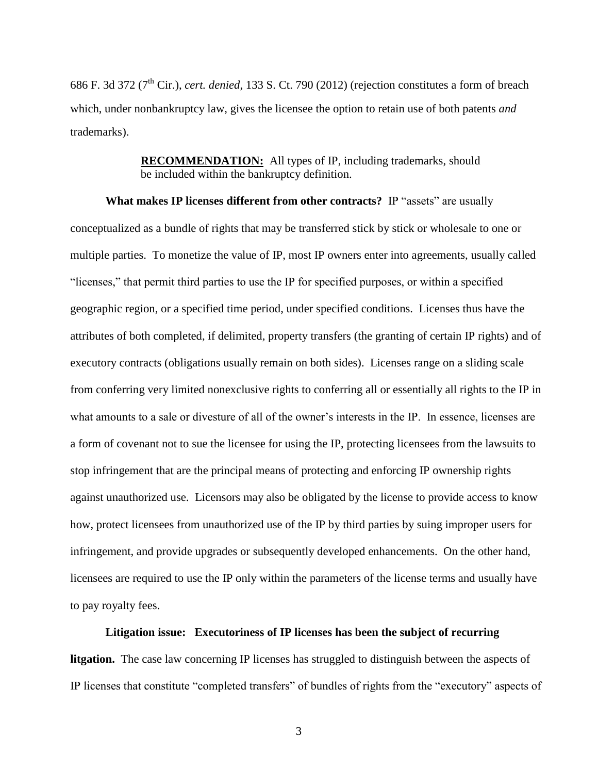686 F. 3d 372 (7th Cir.), *cert. denied*, 133 S. Ct. 790 (2012) (rejection constitutes a form of breach which, under nonbankruptcy law, gives the licensee the option to retain use of both patents *and* trademarks).

> **RECOMMENDATION:** All types of IP, including trademarks, should be included within the bankruptcy definition.

**What makes IP licenses different from other contracts?** IP "assets" are usually conceptualized as a bundle of rights that may be transferred stick by stick or wholesale to one or multiple parties. To monetize the value of IP, most IP owners enter into agreements, usually called "licenses," that permit third parties to use the IP for specified purposes, or within a specified geographic region, or a specified time period, under specified conditions. Licenses thus have the attributes of both completed, if delimited, property transfers (the granting of certain IP rights) and of executory contracts (obligations usually remain on both sides). Licenses range on a sliding scale from conferring very limited nonexclusive rights to conferring all or essentially all rights to the IP in what amounts to a sale or divesture of all of the owner's interests in the IP. In essence, licenses are a form of covenant not to sue the licensee for using the IP, protecting licensees from the lawsuits to stop infringement that are the principal means of protecting and enforcing IP ownership rights against unauthorized use. Licensors may also be obligated by the license to provide access to know how, protect licensees from unauthorized use of the IP by third parties by suing improper users for infringement, and provide upgrades or subsequently developed enhancements. On the other hand, licensees are required to use the IP only within the parameters of the license terms and usually have to pay royalty fees.

#### **Litigation issue: Executoriness of IP licenses has been the subject of recurring**

**litgation.** The case law concerning IP licenses has struggled to distinguish between the aspects of IP licenses that constitute "completed transfers" of bundles of rights from the "executory" aspects of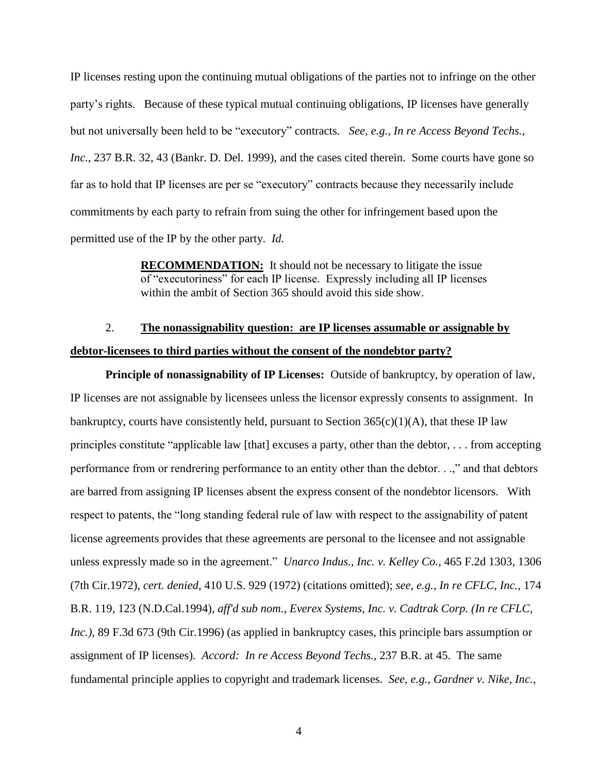IP licenses resting upon the continuing mutual obligations of the parties not to infringe on the other party"s rights. Because of these typical mutual continuing obligations, IP licenses have generally but not universally been held to be "executory" contracts. *See, e.g., In re Access Beyond Techs., Inc.*, 237 B.R. 32, 43 (Bankr. D. Del. 1999), and the cases cited therein. Some courts have gone so far as to hold that IP licenses are per se "executory" contracts because they necessarily include commitments by each party to refrain from suing the other for infringement based upon the permitted use of the IP by the other party. *Id.* 

> **RECOMMENDATION:** It should not be necessary to litigate the issue of "executoriness" for each IP license. Expressly including all IP licenses within the ambit of Section 365 should avoid this side show.

### 2. **The nonassignability question: are IP licenses assumable or assignable by debtor-licensees to third parties without the consent of the nondebtor party?**

**Principle of nonassignability of IP Licenses:** Outside of bankruptcy, by operation of law, IP licenses are not assignable by licensees unless the licensor expressly consents to assignment. In bankruptcy, courts have consistently held, pursuant to Section  $365(c)(1)(A)$ , that these IP law principles constitute "applicable law [that] excuses a party, other than the debtor, . . . from accepting performance from or rendrering performance to an entity other than the debtor. . .," and that debtors are barred from assigning IP licenses absent the express consent of the nondebtor licensors. With respect to patents, the "long standing federal rule of law with respect to the assignability of patent license agreements provides that these agreements are personal to the licensee and not assignable unless expressly made so in the agreement." *Unarco Indus., Inc. v. Kelley Co.*, 465 F.2d 1303, 1306 (7th Cir.1972), *cert. denied*, 410 U.S. 929 (1972) (citations omitted); *see, e.g., In re CFLC, Inc.,* 174 B.R. 119, 123 (N.D.Cal.1994)*, aff'd sub nom., Everex Systems, Inc. v. Cadtrak Corp. (In re CFLC, Inc.*), 89 F.3d 673 (9th Cir.1996) (as applied in bankruptcy cases, this principle bars assumption or assignment of IP licenses)*. Accord: In re Access Beyond Techs.,* 237 B.R. at 45. The same fundamental principle applies to copyright and trademark licenses. *See, e.g., Gardner v. Nike, Inc.*,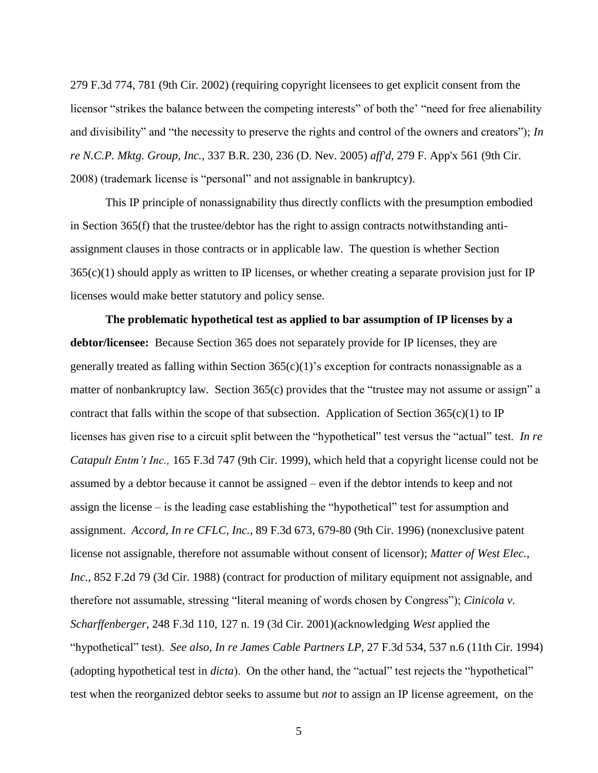279 F.3d 774, 781 (9th Cir. 2002) (requiring copyright licensees to get explicit consent from the licensor "strikes the balance between the competing interests" of both the' "need for free alienability and divisibility" and "the necessity to preserve the rights and control of the owners and creators"); *In re N.C.P. Mktg. Group, Inc.*, 337 B.R. 230, 236 (D. Nev. 2005) *aff'd,* 279 F. App'x 561 (9th Cir. 2008) (trademark license is "personal" and not assignable in bankruptcy).

This IP principle of nonassignability thus directly conflicts with the presumption embodied in Section 365(f) that the trustee/debtor has the right to assign contracts notwithstanding antiassignment clauses in those contracts or in applicable law. The question is whether Section 365(c)(1) should apply as written to IP licenses, or whether creating a separate provision just for IP licenses would make better statutory and policy sense.

**The problematic hypothetical test as applied to bar assumption of IP licenses by a debtor/licensee:** Because Section 365 does not separately provide for IP licenses, they are generally treated as falling within Section  $365(c)(1)$ 's exception for contracts nonassignable as a matter of nonbankruptcy law. Section 365(c) provides that the "trustee may not assume or assign" a contract that falls within the scope of that subsection. Application of Section  $365(c)(1)$  to IP licenses has given rise to a circuit split between the "hypothetical" test versus the "actual" test. *In re Catapult Entm't Inc.,* 165 F.3d 747 (9th Cir. 1999), which held that a copyright license could not be assumed by a debtor because it cannot be assigned – even if the debtor intends to keep and not assign the license – is the leading case establishing the "hypothetical" test for assumption and assignment. *Accord, In re CFLC, Inc.*, 89 F.3d 673, 679-80 (9th Cir. 1996) (nonexclusive patent license not assignable, therefore not assumable without consent of licensor); *Matter of West Elec., Inc.*, 852 F.2d 79 (3d Cir. 1988) (contract for production of military equipment not assignable, and therefore not assumable, stressing "literal meaning of words chosen by Congress"); *Cinicola v. Scharffenberger*, 248 F.3d 110, 127 n. 19 (3d Cir. 2001)(acknowledging *West* applied the "hypothetical" test). *See also, In re James Cable Partners LP,* 27 F.3d 534, 537 n.6 (11th Cir. 1994) (adopting hypothetical test in *dicta*). On the other hand, the "actual" test rejects the "hypothetical" test when the reorganized debtor seeks to assume but *not* to assign an IP license agreement, on the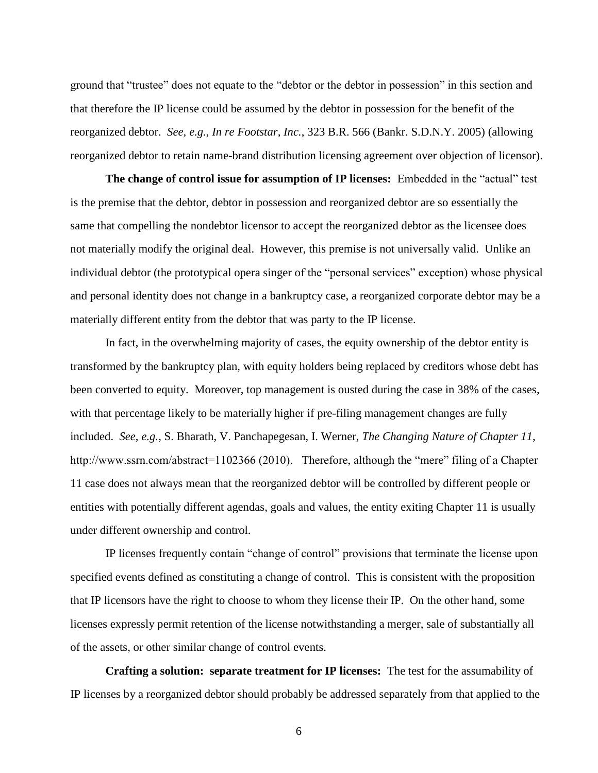ground that "trustee" does not equate to the "debtor or the debtor in possession" in this section and that therefore the IP license could be assumed by the debtor in possession for the benefit of the reorganized debtor. *See, e.g., In re Footstar, Inc.*, 323 B.R. 566 (Bankr. S.D.N.Y. 2005) (allowing reorganized debtor to retain name-brand distribution licensing agreement over objection of licensor).

**The change of control issue for assumption of IP licenses:** Embedded in the "actual" test is the premise that the debtor, debtor in possession and reorganized debtor are so essentially the same that compelling the nondebtor licensor to accept the reorganized debtor as the licensee does not materially modify the original deal. However, this premise is not universally valid. Unlike an individual debtor (the prototypical opera singer of the "personal services" exception) whose physical and personal identity does not change in a bankruptcy case, a reorganized corporate debtor may be a materially different entity from the debtor that was party to the IP license.

In fact, in the overwhelming majority of cases, the equity ownership of the debtor entity is transformed by the bankruptcy plan, with equity holders being replaced by creditors whose debt has been converted to equity. Moreover, top management is ousted during the case in 38% of the cases, with that percentage likely to be materially higher if pre-filing management changes are fully included. *See, e.g.,* S. Bharath, V. Panchapegesan, I. Werner, *The Changing Nature of Chapter 11*, http://www.ssrn.com/abstract=1102366 (2010). Therefore, although the "mere" filing of a Chapter 11 case does not always mean that the reorganized debtor will be controlled by different people or entities with potentially different agendas, goals and values, the entity exiting Chapter 11 is usually under different ownership and control.

IP licenses frequently contain "change of control" provisions that terminate the license upon specified events defined as constituting a change of control. This is consistent with the proposition that IP licensors have the right to choose to whom they license their IP. On the other hand, some licenses expressly permit retention of the license notwithstanding a merger, sale of substantially all of the assets, or other similar change of control events.

**Crafting a solution: separate treatment for IP licenses:** The test for the assumability of IP licenses by a reorganized debtor should probably be addressed separately from that applied to the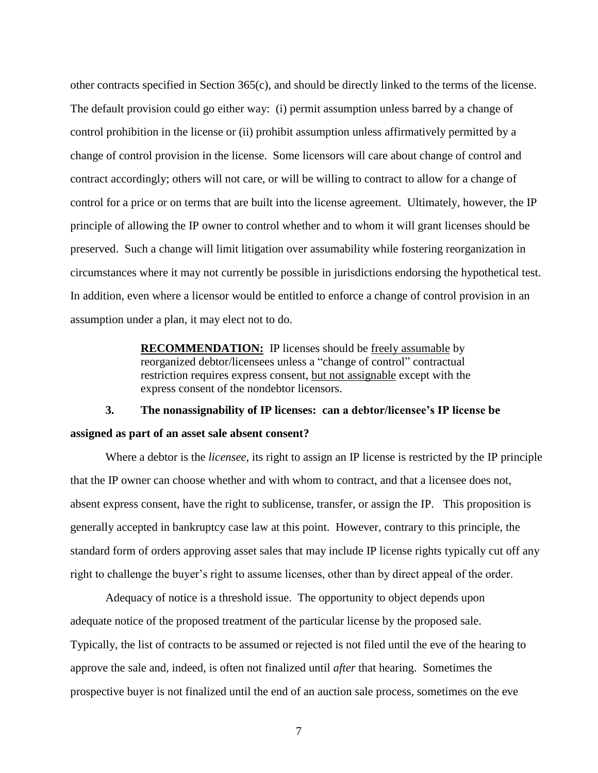other contracts specified in Section 365(c), and should be directly linked to the terms of the license. The default provision could go either way: (i) permit assumption unless barred by a change of control prohibition in the license or (ii) prohibit assumption unless affirmatively permitted by a change of control provision in the license. Some licensors will care about change of control and contract accordingly; others will not care, or will be willing to contract to allow for a change of control for a price or on terms that are built into the license agreement. Ultimately, however, the IP principle of allowing the IP owner to control whether and to whom it will grant licenses should be preserved. Such a change will limit litigation over assumability while fostering reorganization in circumstances where it may not currently be possible in jurisdictions endorsing the hypothetical test. In addition, even where a licensor would be entitled to enforce a change of control provision in an assumption under a plan, it may elect not to do.

> **RECOMMENDATION:** IP licenses should be freely assumable by reorganized debtor/licensees unless a "change of control" contractual restriction requires express consent, but not assignable except with the express consent of the nondebtor licensors.

### **3. The nonassignability of IP licenses: can a debtor/licensee's IP license be assigned as part of an asset sale absent consent?**

Where a debtor is the *licensee*, its right to assign an IP license is restricted by the IP principle that the IP owner can choose whether and with whom to contract, and that a licensee does not, absent express consent, have the right to sublicense, transfer, or assign the IP. This proposition is generally accepted in bankruptcy case law at this point. However, contrary to this principle, the standard form of orders approving asset sales that may include IP license rights typically cut off any right to challenge the buyer's right to assume licenses, other than by direct appeal of the order.

Adequacy of notice is a threshold issue. The opportunity to object depends upon adequate notice of the proposed treatment of the particular license by the proposed sale. Typically, the list of contracts to be assumed or rejected is not filed until the eve of the hearing to approve the sale and, indeed, is often not finalized until *after* that hearing. Sometimes the prospective buyer is not finalized until the end of an auction sale process, sometimes on the eve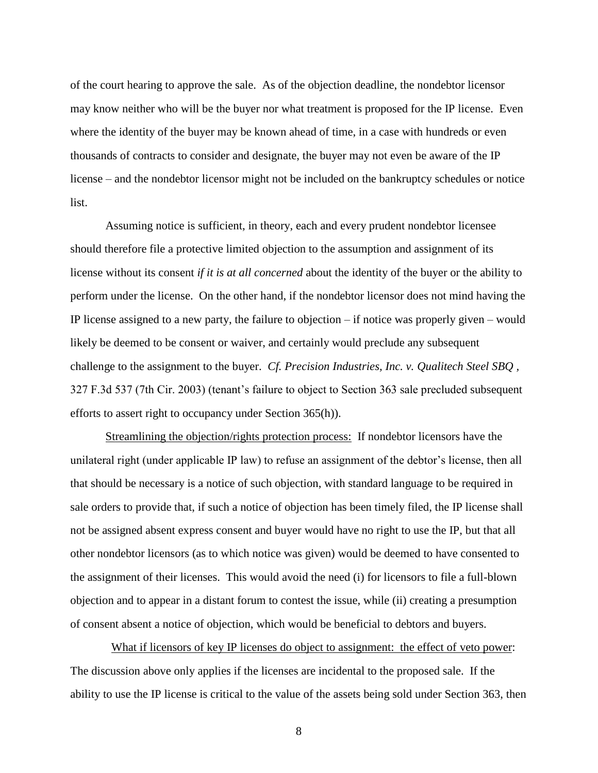of the court hearing to approve the sale. As of the objection deadline, the nondebtor licensor may know neither who will be the buyer nor what treatment is proposed for the IP license. Even where the identity of the buyer may be known ahead of time, in a case with hundreds or even thousands of contracts to consider and designate, the buyer may not even be aware of the IP license – and the nondebtor licensor might not be included on the bankruptcy schedules or notice list.

Assuming notice is sufficient, in theory, each and every prudent nondebtor licensee should therefore file a protective limited objection to the assumption and assignment of its license without its consent *if it is at all concerned* about the identity of the buyer or the ability to perform under the license. On the other hand, if the nondebtor licensor does not mind having the IP license assigned to a new party, the failure to objection – if notice was properly given – would likely be deemed to be consent or waiver, and certainly would preclude any subsequent challenge to the assignment to the buyer. *Cf. Precision Industries, Inc. v. Qualitech Steel SBQ ,*  327 F.3d 537 (7th Cir. 2003) (tenant"s failure to object to Section 363 sale precluded subsequent efforts to assert right to occupancy under Section 365(h)).

Streamlining the objection/rights protection process: If nondebtor licensors have the unilateral right (under applicable IP law) to refuse an assignment of the debtor's license, then all that should be necessary is a notice of such objection, with standard language to be required in sale orders to provide that, if such a notice of objection has been timely filed, the IP license shall not be assigned absent express consent and buyer would have no right to use the IP, but that all other nondebtor licensors (as to which notice was given) would be deemed to have consented to the assignment of their licenses. This would avoid the need (i) for licensors to file a full-blown objection and to appear in a distant forum to contest the issue, while (ii) creating a presumption of consent absent a notice of objection, which would be beneficial to debtors and buyers.

What if licensors of key IP licenses do object to assignment: the effect of veto power: The discussion above only applies if the licenses are incidental to the proposed sale. If the ability to use the IP license is critical to the value of the assets being sold under Section 363, then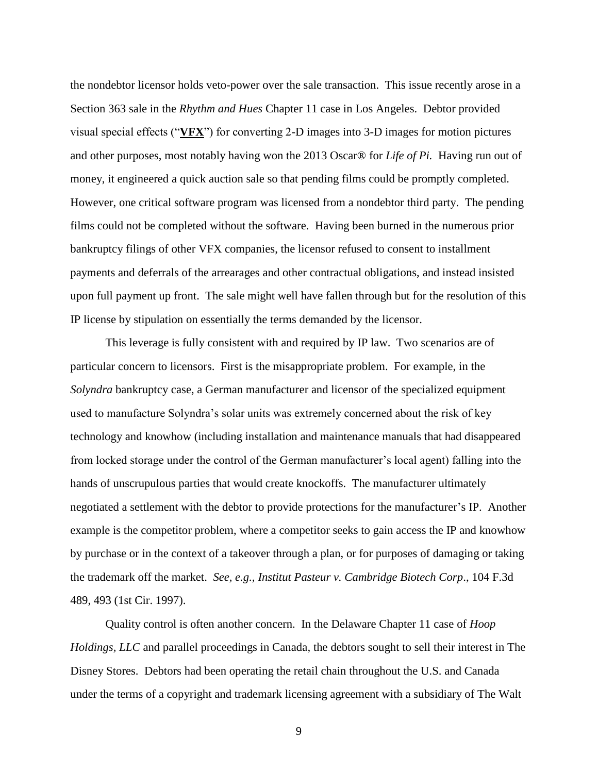the nondebtor licensor holds veto-power over the sale transaction. This issue recently arose in a Section 363 sale in the *Rhythm and Hues* Chapter 11 case in Los Angeles. Debtor provided visual special effects ("**VFX**") for converting 2-D images into 3-D images for motion pictures and other purposes, most notably having won the 2013 Oscar® for *Life of Pi.* Having run out of money, it engineered a quick auction sale so that pending films could be promptly completed. However, one critical software program was licensed from a nondebtor third party. The pending films could not be completed without the software. Having been burned in the numerous prior bankruptcy filings of other VFX companies, the licensor refused to consent to installment payments and deferrals of the arrearages and other contractual obligations, and instead insisted upon full payment up front. The sale might well have fallen through but for the resolution of this IP license by stipulation on essentially the terms demanded by the licensor.

This leverage is fully consistent with and required by IP law. Two scenarios are of particular concern to licensors. First is the misappropriate problem. For example, in the *Solyndra* bankruptcy case, a German manufacturer and licensor of the specialized equipment used to manufacture Solyndra"s solar units was extremely concerned about the risk of key technology and knowhow (including installation and maintenance manuals that had disappeared from locked storage under the control of the German manufacturer"s local agent) falling into the hands of unscrupulous parties that would create knockoffs. The manufacturer ultimately negotiated a settlement with the debtor to provide protections for the manufacturer"s IP. Another example is the competitor problem, where a competitor seeks to gain access the IP and knowhow by purchase or in the context of a takeover through a plan, or for purposes of damaging or taking the trademark off the market. *See, e.g., Institut Pasteur v. Cambridge Biotech Corp*., 104 F.3d 489, 493 (1st Cir. 1997).

Quality control is often another concern. In the Delaware Chapter 11 case of *Hoop Holdings, LLC* and parallel proceedings in Canada*,* the debtors sought to sell their interest in The Disney Stores. Debtors had been operating the retail chain throughout the U.S. and Canada under the terms of a copyright and trademark licensing agreement with a subsidiary of The Walt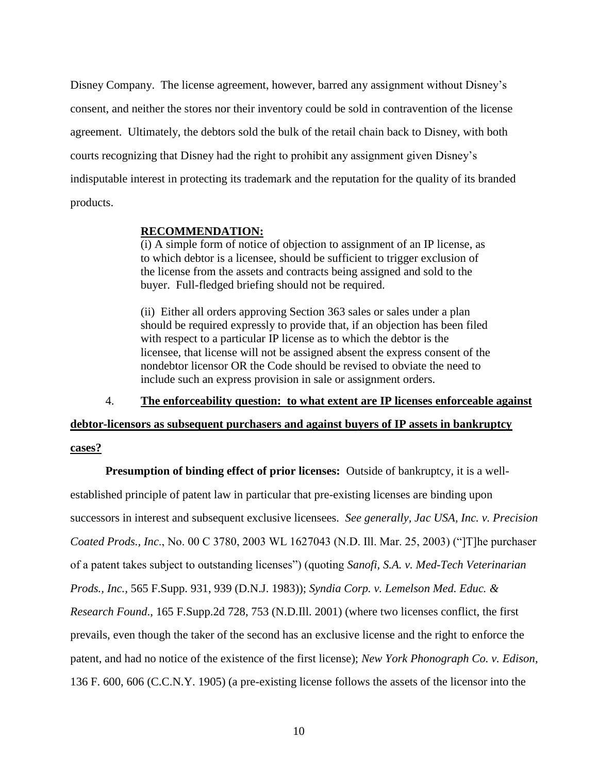Disney Company. The license agreement, however, barred any assignment without Disney"s consent, and neither the stores nor their inventory could be sold in contravention of the license agreement. Ultimately, the debtors sold the bulk of the retail chain back to Disney, with both courts recognizing that Disney had the right to prohibit any assignment given Disney"s indisputable interest in protecting its trademark and the reputation for the quality of its branded products.

#### **RECOMMENDATION:**

(i) A simple form of notice of objection to assignment of an IP license, as to which debtor is a licensee, should be sufficient to trigger exclusion of the license from the assets and contracts being assigned and sold to the buyer. Full-fledged briefing should not be required.

(ii) Either all orders approving Section 363 sales or sales under a plan should be required expressly to provide that, if an objection has been filed with respect to a particular IP license as to which the debtor is the licensee, that license will not be assigned absent the express consent of the nondebtor licensor OR the Code should be revised to obviate the need to include such an express provision in sale or assignment orders.

4. **The enforceability question: to what extent are IP licenses enforceable against** 

**debtor-licensors as subsequent purchasers and against buyers of IP assets in bankruptcy cases?**

**Presumption of binding effect of prior licenses:** Outside of bankruptcy, it is a wellestablished principle of patent law in particular that pre-existing licenses are binding upon successors in interest and subsequent exclusive licensees. *See generally, Jac USA, Inc. v. Precision Coated Prods., Inc*., No. 00 C 3780, 2003 WL 1627043 (N.D. Ill. Mar. 25, 2003) ("]T]he purchaser of a patent takes subject to outstanding licenses") (quoting *Sanofi, S.A. v. Med-Tech Veterinarian Prods., Inc.,* 565 F.Supp. 931, 939 (D.N.J. 1983)); *Syndia Corp. v. Lemelson Med. Educ. & Research Found*., 165 F.Supp.2d 728, 753 (N.D.Ill. 2001) (where two licenses conflict, the first prevails, even though the taker of the second has an exclusive license and the right to enforce the patent, and had no notice of the existence of the first license); *New York Phonograph Co. v. Edison*, 136 F. 600, 606 (C.C.N.Y. 1905) (a pre-existing license follows the assets of the licensor into the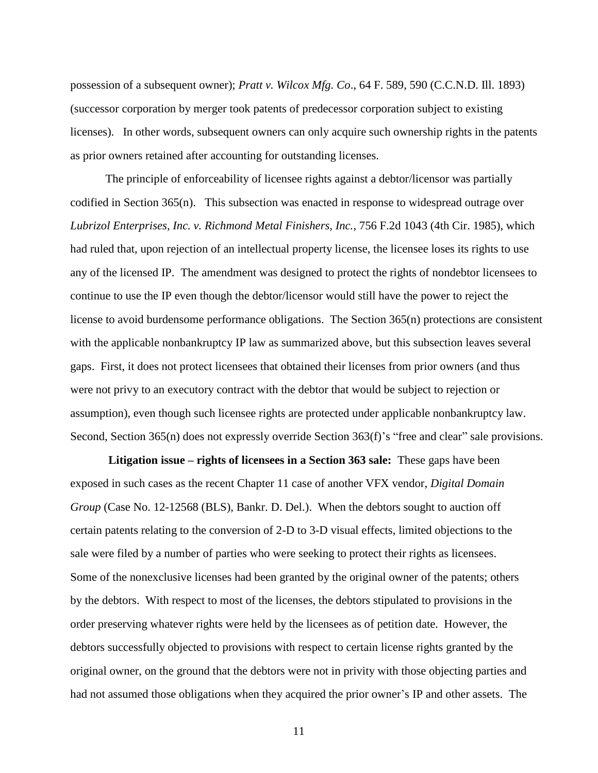possession of a subsequent owner); *Pratt v. Wilcox Mfg. Co*., 64 F. 589, 590 (C.C.N.D. Ill. 1893) (successor corporation by merger took patents of predecessor corporation subject to existing licenses). In other words, subsequent owners can only acquire such ownership rights in the patents as prior owners retained after accounting for outstanding licenses.

The principle of enforceability of licensee rights against a debtor/licensor was partially codified in Section 365(n). This subsection was enacted in response to widespread outrage over *Lubrizol Enterprises, Inc. v. Richmond Metal Finishers, Inc.*, 756 F.2d 1043 (4th Cir. 1985), which had ruled that, upon rejection of an intellectual property license, the licensee loses its rights to use any of the licensed IP. The amendment was designed to protect the rights of nondebtor licensees to continue to use the IP even though the debtor/licensor would still have the power to reject the license to avoid burdensome performance obligations. The Section 365(n) protections are consistent with the applicable nonbankruptcy IP law as summarized above, but this subsection leaves several gaps. First, it does not protect licensees that obtained their licenses from prior owners (and thus were not privy to an executory contract with the debtor that would be subject to rejection or assumption), even though such licensee rights are protected under applicable nonbankruptcy law. Second, Section 365(n) does not expressly override Section 363(f)'s "free and clear" sale provisions.

**Litigation issue – rights of licensees in a Section 363 sale:** These gaps have been exposed in such cases as the recent Chapter 11 case of another VFX vendor, *Digital Domain Group* (Case No. 12-12568 (BLS), Bankr. D. Del.). When the debtors sought to auction off certain patents relating to the conversion of 2-D to 3-D visual effects, limited objections to the sale were filed by a number of parties who were seeking to protect their rights as licensees. Some of the nonexclusive licenses had been granted by the original owner of the patents; others by the debtors. With respect to most of the licenses, the debtors stipulated to provisions in the order preserving whatever rights were held by the licensees as of petition date. However, the debtors successfully objected to provisions with respect to certain license rights granted by the original owner, on the ground that the debtors were not in privity with those objecting parties and had not assumed those obligations when they acquired the prior owner's IP and other assets. The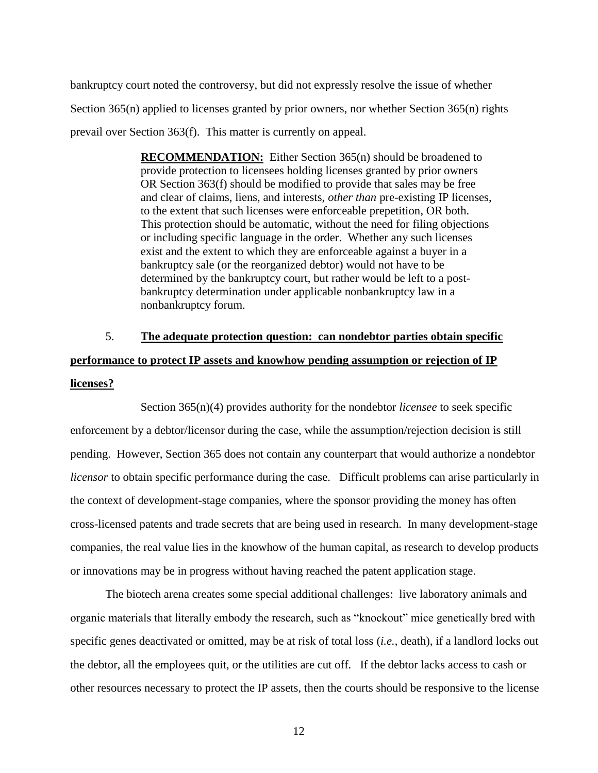bankruptcy court noted the controversy, but did not expressly resolve the issue of whether Section 365(n) applied to licenses granted by prior owners, nor whether Section 365(n) rights prevail over Section 363(f). This matter is currently on appeal.

> **RECOMMENDATION:** Either Section 365(n) should be broadened to provide protection to licensees holding licenses granted by prior owners OR Section 363(f) should be modified to provide that sales may be free and clear of claims, liens, and interests, *other than* pre-existing IP licenses, to the extent that such licenses were enforceable prepetition, OR both. This protection should be automatic, without the need for filing objections or including specific language in the order. Whether any such licenses exist and the extent to which they are enforceable against a buyer in a bankruptcy sale (or the reorganized debtor) would not have to be determined by the bankruptcy court, but rather would be left to a postbankruptcy determination under applicable nonbankruptcy law in a nonbankruptcy forum.

# 5. **The adequate protection question: can nondebtor parties obtain specific performance to protect IP assets and knowhow pending assumption or rejection of IP licenses?**

Section 365(n)(4) provides authority for the nondebtor *licensee* to seek specific enforcement by a debtor/licensor during the case, while the assumption/rejection decision is still pending. However, Section 365 does not contain any counterpart that would authorize a nondebtor *licensor* to obtain specific performance during the case. Difficult problems can arise particularly in the context of development-stage companies, where the sponsor providing the money has often cross-licensed patents and trade secrets that are being used in research. In many development-stage companies, the real value lies in the knowhow of the human capital, as research to develop products or innovations may be in progress without having reached the patent application stage.

The biotech arena creates some special additional challenges: live laboratory animals and organic materials that literally embody the research, such as "knockout" mice genetically bred with specific genes deactivated or omitted, may be at risk of total loss (*i.e.*, death), if a landlord locks out the debtor, all the employees quit, or the utilities are cut off. If the debtor lacks access to cash or other resources necessary to protect the IP assets, then the courts should be responsive to the license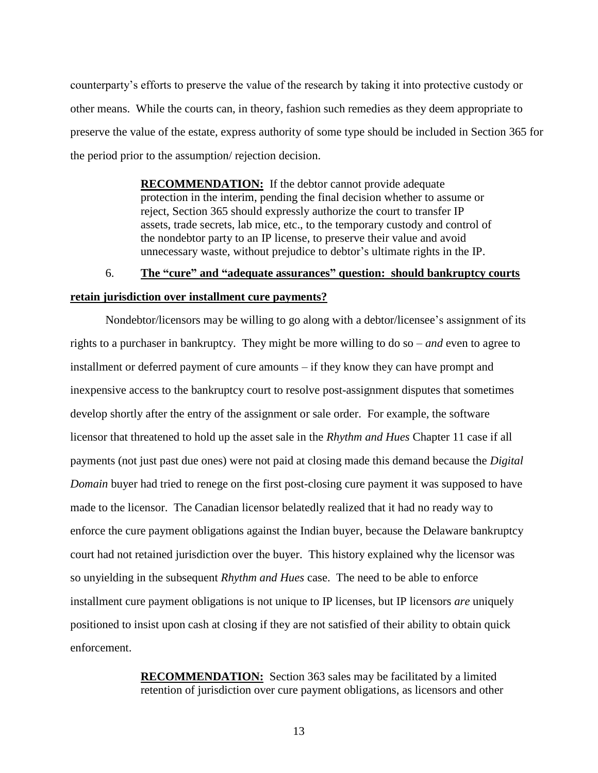counterparty"s efforts to preserve the value of the research by taking it into protective custody or other means. While the courts can, in theory, fashion such remedies as they deem appropriate to preserve the value of the estate, express authority of some type should be included in Section 365 for the period prior to the assumption/ rejection decision.

> **RECOMMENDATION:** If the debtor cannot provide adequate protection in the interim, pending the final decision whether to assume or reject, Section 365 should expressly authorize the court to transfer IP assets, trade secrets, lab mice, etc., to the temporary custody and control of the nondebtor party to an IP license, to preserve their value and avoid unnecessary waste, without prejudice to debtor"s ultimate rights in the IP.

## 6. **The "cure" and "adequate assurances" question: should bankruptcy courts retain jurisdiction over installment cure payments?**

Nondebtor/licensors may be willing to go along with a debtor/licensee"s assignment of its rights to a purchaser in bankruptcy. They might be more willing to do so – *and* even to agree to installment or deferred payment of cure amounts – if they know they can have prompt and inexpensive access to the bankruptcy court to resolve post-assignment disputes that sometimes develop shortly after the entry of the assignment or sale order. For example, the software licensor that threatened to hold up the asset sale in the *Rhythm and Hues* Chapter 11 case if all payments (not just past due ones) were not paid at closing made this demand because the *Digital Domain* buyer had tried to renege on the first post-closing cure payment it was supposed to have made to the licensor. The Canadian licensor belatedly realized that it had no ready way to enforce the cure payment obligations against the Indian buyer, because the Delaware bankruptcy court had not retained jurisdiction over the buyer. This history explained why the licensor was so unyielding in the subsequent *Rhythm and Hues* case. The need to be able to enforce installment cure payment obligations is not unique to IP licenses, but IP licensors *are* uniquely positioned to insist upon cash at closing if they are not satisfied of their ability to obtain quick enforcement.

> **RECOMMENDATION:** Section 363 sales may be facilitated by a limited retention of jurisdiction over cure payment obligations, as licensors and other